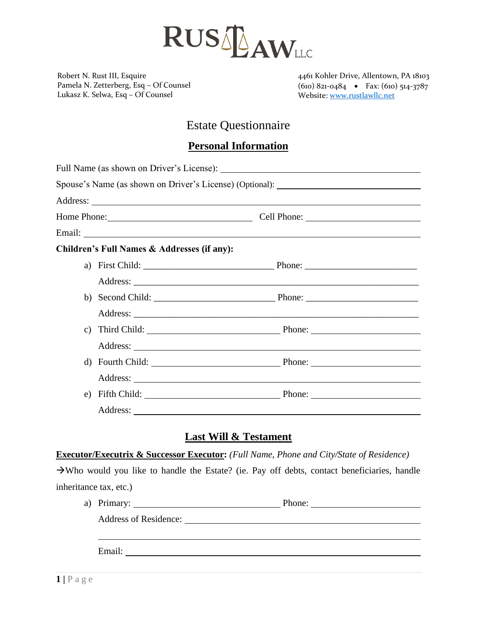

Robert N. Rust III, Esquire Pamela N. Zetterberg, Esq – Of Counsel Lukasz K. Selwa, Esq – Of Counsel

4461 Kohler Drive, Allentown, PA 18103 (610) 821-0484 • Fax: (610) 514-3787 Website: [www.rustlawllc.net](http://www.rustlawllc.net/)

# Estate Questionnaire

## **Personal Information**

|  |                                             | Spouse's Name (as shown on Driver's License) (Optional): ________________________ |  |
|--|---------------------------------------------|-----------------------------------------------------------------------------------|--|
|  |                                             |                                                                                   |  |
|  |                                             |                                                                                   |  |
|  |                                             |                                                                                   |  |
|  | Children's Full Names & Addresses (if any): |                                                                                   |  |
|  |                                             |                                                                                   |  |
|  |                                             |                                                                                   |  |
|  |                                             |                                                                                   |  |
|  |                                             |                                                                                   |  |
|  |                                             | c) Third Child: Phone: Phone:                                                     |  |
|  |                                             |                                                                                   |  |
|  |                                             | d) Fourth Child: Phone: Phone:                                                    |  |
|  |                                             |                                                                                   |  |
|  |                                             |                                                                                   |  |
|  |                                             |                                                                                   |  |

### **Last Will & Testament**

#### **Executor/Executrix & Successor Executor:** *(Full Name, Phone and City/State of Residence)*

→Who would you like to handle the Estate? (ie. Pay off debts, contact beneficiaries, handle inheritance tax, etc.)

| a) Primary:           | Phone: |
|-----------------------|--------|
| Address of Residence: |        |
|                       |        |
| Email:                |        |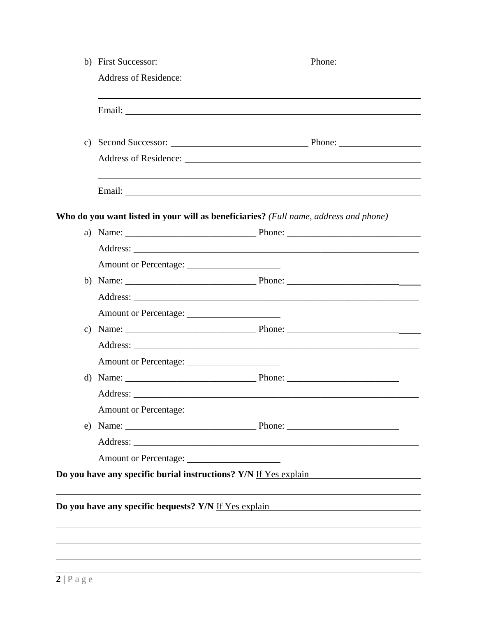|                                                                  | Who do you want listed in your will as beneficiaries? (Full name, address and phone)                                 |
|------------------------------------------------------------------|----------------------------------------------------------------------------------------------------------------------|
|                                                                  |                                                                                                                      |
|                                                                  |                                                                                                                      |
|                                                                  |                                                                                                                      |
|                                                                  |                                                                                                                      |
|                                                                  |                                                                                                                      |
| Amount or Percentage:                                            |                                                                                                                      |
|                                                                  |                                                                                                                      |
|                                                                  |                                                                                                                      |
| Amount or Percentage:                                            |                                                                                                                      |
|                                                                  |                                                                                                                      |
|                                                                  |                                                                                                                      |
|                                                                  |                                                                                                                      |
|                                                                  |                                                                                                                      |
|                                                                  |                                                                                                                      |
|                                                                  |                                                                                                                      |
| Do you have any specific burial instructions? Y/N If Yes explain |                                                                                                                      |
|                                                                  |                                                                                                                      |
| Do you have any specific bequests? Y/N If Yes explain            | <u> 1980 - Jan Samuel Barbara, martin di sebagai personal di sebagai personal di sebagai personal di sebagai per</u> |
|                                                                  |                                                                                                                      |
|                                                                  |                                                                                                                      |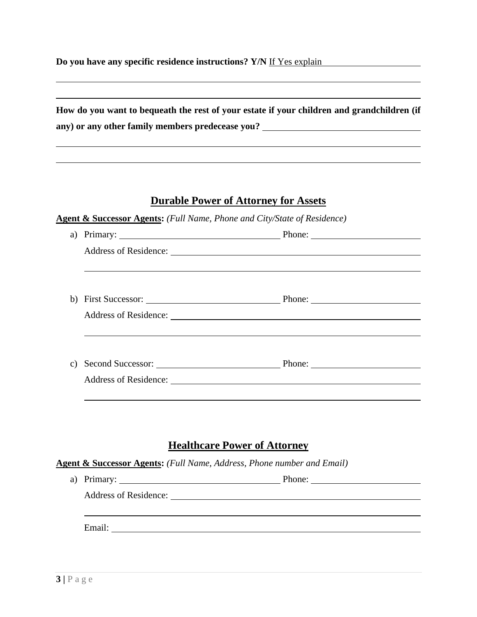**Do you have any specific residence instructions?** Y/N If Yes explain

| How do you want to bequeath the rest of your estate if your children and grandchildren (if |
|--------------------------------------------------------------------------------------------|
| any) or any other family members predecease you?                                           |

# **Durable Power of Attorney for Assets**

**Agent & Successor Agents:** *(Full Name, Phone and City/State of Residence)*

| a)                                  |                                                                                   |                                                                                                                                                                                                                                |  |  |  |
|-------------------------------------|-----------------------------------------------------------------------------------|--------------------------------------------------------------------------------------------------------------------------------------------------------------------------------------------------------------------------------|--|--|--|
|                                     |                                                                                   | Address of Residence: New York Changes and School and School and School and School and School and School and School and School and School and School and School and School and School and School and School and School and Sch |  |  |  |
|                                     |                                                                                   |                                                                                                                                                                                                                                |  |  |  |
|                                     |                                                                                   |                                                                                                                                                                                                                                |  |  |  |
|                                     |                                                                                   |                                                                                                                                                                                                                                |  |  |  |
|                                     |                                                                                   |                                                                                                                                                                                                                                |  |  |  |
|                                     |                                                                                   |                                                                                                                                                                                                                                |  |  |  |
|                                     |                                                                                   |                                                                                                                                                                                                                                |  |  |  |
|                                     |                                                                                   | c) Second Successor: Phone: Phone:                                                                                                                                                                                             |  |  |  |
|                                     |                                                                                   |                                                                                                                                                                                                                                |  |  |  |
|                                     |                                                                                   |                                                                                                                                                                                                                                |  |  |  |
|                                     |                                                                                   |                                                                                                                                                                                                                                |  |  |  |
|                                     |                                                                                   |                                                                                                                                                                                                                                |  |  |  |
| <b>Healthcare Power of Attorney</b> |                                                                                   |                                                                                                                                                                                                                                |  |  |  |
|                                     | <b>Agent &amp; Successor Agents:</b> (Full Name, Address, Phone number and Email) |                                                                                                                                                                                                                                |  |  |  |
|                                     |                                                                                   | a) Primary: Phone:                                                                                                                                                                                                             |  |  |  |
|                                     |                                                                                   |                                                                                                                                                                                                                                |  |  |  |
|                                     |                                                                                   |                                                                                                                                                                                                                                |  |  |  |
|                                     |                                                                                   |                                                                                                                                                                                                                                |  |  |  |

Email: